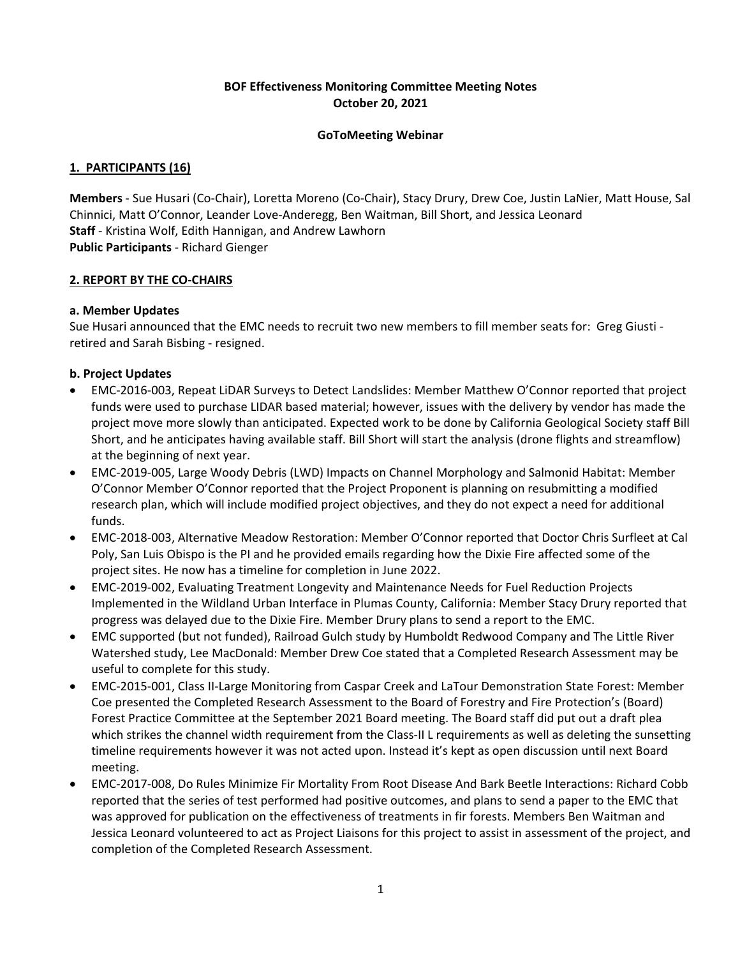# **BOF Effectiveness Monitoring Committee Meeting Notes October 20, 2021**

### **GoToMeeting Webinar**

### **1. PARTICIPANTS (16)**

**Members** - Sue Husari (Co-Chair), Loretta Moreno (Co-Chair), Stacy Drury, Drew Coe, Justin LaNier, Matt House, Sal Chinnici, Matt O'Connor, Leander Love-Anderegg, Ben Waitman, Bill Short, and Jessica Leonard **Staff** - Kristina Wolf, Edith Hannigan, and Andrew Lawhorn **Public Participants** - Richard Gienger

### **2. REPORT BY THE CO-CHAIRS**

## **a. Member Updates**

Sue Husari announced that the EMC needs to recruit two new members to fill member seats for: Greg Giusti retired and Sarah Bisbing - resigned.

## **b. Project Updates**

- EMC-2016-003, Repeat LiDAR Surveys to Detect Landslides: Member Matthew O'Connor reported that project funds were used to purchase LIDAR based material; however, issues with the delivery by vendor has made the project move more slowly than anticipated. Expected work to be done by California Geological Society staff Bill Short, and he anticipates having available staff. Bill Short will start the analysis (drone flights and streamflow) at the beginning of next year.
- EMC-2019-005, Large Woody Debris (LWD) Impacts on Channel Morphology and Salmonid Habitat: Member O'Connor Member O'Connor reported that the Project Proponent is planning on resubmitting a modified research plan, which will include modified project objectives, and they do not expect a need for additional funds.
- EMC-2018-003, Alternative Meadow Restoration: Member O'Connor reported that Doctor Chris Surfleet at Cal Poly, San Luis Obispo is the PI and he provided emails regarding how the Dixie Fire affected some of the project sites. He now has a timeline for completion in June 2022.
- EMC-2019-002, Evaluating Treatment Longevity and Maintenance Needs for Fuel Reduction Projects Implemented in the Wildland Urban Interface in Plumas County, California: Member Stacy Drury reported that progress was delayed due to the Dixie Fire. Member Drury plans to send a report to the EMC.
- EMC supported (but not funded), Railroad Gulch study by Humboldt Redwood Company and The Little River Watershed study, Lee MacDonald: Member Drew Coe stated that a Completed Research Assessment may be useful to complete for this study.
- EMC-2015-001, Class II-Large Monitoring from Caspar Creek and LaTour Demonstration State Forest: Member Coe presented the Completed Research Assessment to the Board of Forestry and Fire Protection's (Board) Forest Practice Committee at the September 2021 Board meeting. The Board staff did put out a draft plea which strikes the channel width requirement from the Class-II L requirements as well as deleting the sunsetting timeline requirements however it was not acted upon. Instead it's kept as open discussion until next Board meeting.
- EMC-2017-008, Do Rules Minimize Fir Mortality From Root Disease And Bark Beetle Interactions: Richard Cobb reported that the series of test performed had positive outcomes, and plans to send a paper to the EMC that was approved for publication on the effectiveness of treatments in fir forests. Members Ben Waitman and Jessica Leonard volunteered to act as Project Liaisons for this project to assist in assessment of the project, and completion of the Completed Research Assessment.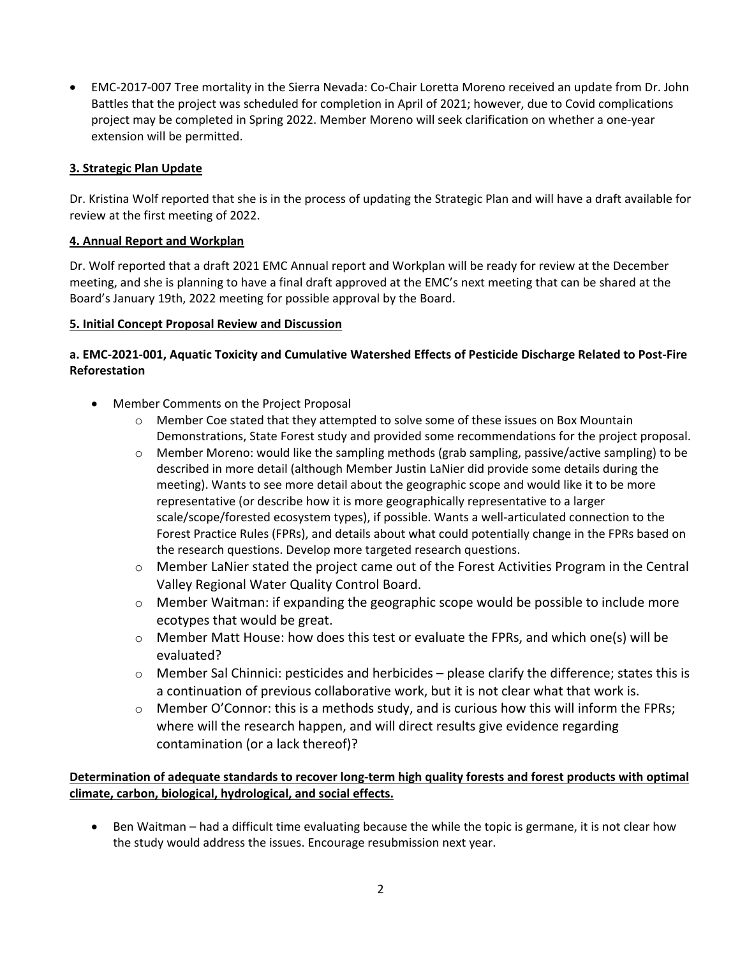• EMC-2017-007 Tree mortality in the Sierra Nevada: Co-Chair Loretta Moreno received an update from Dr. John Battles that the project was scheduled for completion in April of 2021; however, due to Covid complications project may be completed in Spring 2022. Member Moreno will seek clarification on whether a one-year extension will be permitted.

# **3. Strategic Plan Update**

Dr. Kristina Wolf reported that she is in the process of updating the Strategic Plan and will have a draft available for review at the first meeting of 2022.

### **4. Annual Report and Workplan**

Dr. Wolf reported that a draft 2021 EMC Annual report and Workplan will be ready for review at the December meeting, and she is planning to have a final draft approved at the EMC's next meeting that can be shared at the Board's January 19th, 2022 meeting for possible approval by the Board.

## **5. Initial Concept Proposal Review and Discussion**

# **a. EMC-2021-001, Aquatic Toxicity and Cumulative Watershed Effects of Pesticide Discharge Related to Post-Fire Reforestation**

- Member Comments on the Project Proposal
	- o Member Coe stated that they attempted to solve some of these issues on Box Mountain Demonstrations, State Forest study and provided some recommendations for the project proposal.
	- $\circ$  Member Moreno: would like the sampling methods (grab sampling, passive/active sampling) to be described in more detail (although Member Justin LaNier did provide some details during the meeting). Wants to see more detail about the geographic scope and would like it to be more representative (or describe how it is more geographically representative to a larger scale/scope/forested ecosystem types), if possible. Wants a well-articulated connection to the Forest Practice Rules (FPRs), and details about what could potentially change in the FPRs based on the research questions. Develop more targeted research questions.
	- $\circ$  Member LaNier stated the project came out of the Forest Activities Program in the Central Valley Regional Water Quality Control Board.
	- o Member Waitman: if expanding the geographic scope would be possible to include more ecotypes that would be great.
	- $\circ$  Member Matt House: how does this test or evaluate the FPRs, and which one(s) will be evaluated?
	- $\circ$  Member Sal Chinnici: pesticides and herbicides please clarify the difference; states this is a continuation of previous collaborative work, but it is not clear what that work is.
	- $\circ$  Member O'Connor: this is a methods study, and is curious how this will inform the FPRs; where will the research happen, and will direct results give evidence regarding contamination (or a lack thereof)?

# **Determination of adequate standards to recover long-term high quality forests and forest products with optimal climate, carbon, biological, hydrological, and social effects.**

• Ben Waitman – had a difficult time evaluating because the while the topic is germane, it is not clear how the study would address the issues. Encourage resubmission next year.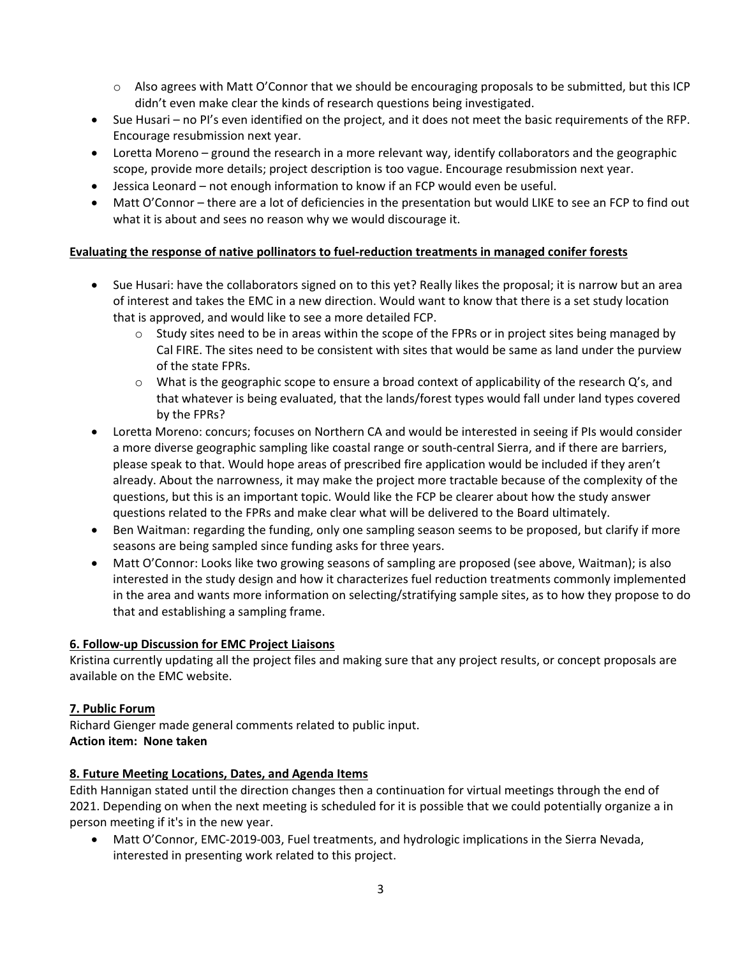- $\circ$  Also agrees with Matt O'Connor that we should be encouraging proposals to be submitted, but this ICP didn't even make clear the kinds of research questions being investigated.
- Sue Husari no PI's even identified on the project, and it does not meet the basic requirements of the RFP. Encourage resubmission next year.
- Loretta Moreno ground the research in a more relevant way, identify collaborators and the geographic scope, provide more details; project description is too vague. Encourage resubmission next year.
- Jessica Leonard not enough information to know if an FCP would even be useful.
- Matt O'Connor there are a lot of deficiencies in the presentation but would LIKE to see an FCP to find out what it is about and sees no reason why we would discourage it.

# **Evaluating the response of native pollinators to fuel-reduction treatments in managed conifer forests**

- Sue Husari: have the collaborators signed on to this yet? Really likes the proposal; it is narrow but an area of interest and takes the EMC in a new direction. Would want to know that there is a set study location that is approved, and would like to see a more detailed FCP.
	- $\circ$  Study sites need to be in areas within the scope of the FPRs or in project sites being managed by Cal FIRE. The sites need to be consistent with sites that would be same as land under the purview of the state FPRs.
	- $\circ$  What is the geographic scope to ensure a broad context of applicability of the research Q's, and that whatever is being evaluated, that the lands/forest types would fall under land types covered by the FPRs?
- Loretta Moreno: concurs; focuses on Northern CA and would be interested in seeing if PIs would consider a more diverse geographic sampling like coastal range or south-central Sierra, and if there are barriers, please speak to that. Would hope areas of prescribed fire application would be included if they aren't already. About the narrowness, it may make the project more tractable because of the complexity of the questions, but this is an important topic. Would like the FCP be clearer about how the study answer questions related to the FPRs and make clear what will be delivered to the Board ultimately.
- Ben Waitman: regarding the funding, only one sampling season seems to be proposed, but clarify if more seasons are being sampled since funding asks for three years.
- Matt O'Connor: Looks like two growing seasons of sampling are proposed (see above, Waitman); is also interested in the study design and how it characterizes fuel reduction treatments commonly implemented in the area and wants more information on selecting/stratifying sample sites, as to how they propose to do that and establishing a sampling frame.

# **6. Follow-up Discussion for EMC Project Liaisons**

Kristina currently updating all the project files and making sure that any project results, or concept proposals are available on the EMC website.

# **7. Public Forum**

Richard Gienger made general comments related to public input. **Action item: None taken**

# **8. Future Meeting Locations, Dates, and Agenda Items**

Edith Hannigan stated until the direction changes then a continuation for virtual meetings through the end of 2021. Depending on when the next meeting is scheduled for it is possible that we could potentially organize a in person meeting if it's in the new year.

• Matt O'Connor, EMC-2019-003, Fuel treatments, and hydrologic implications in the Sierra Nevada, interested in presenting work related to this project.